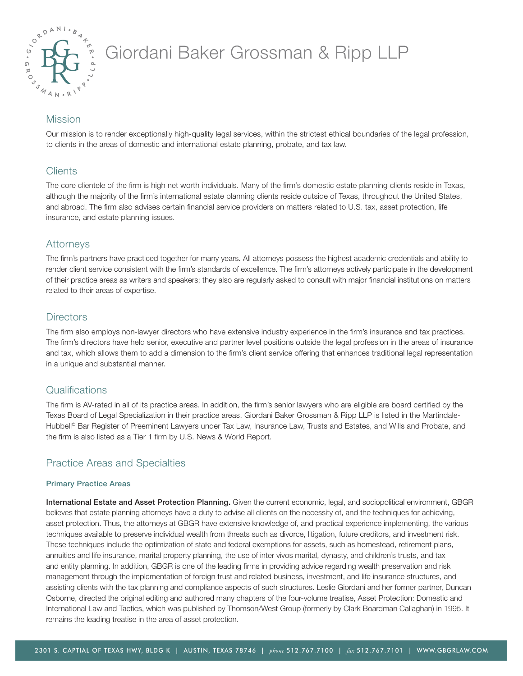

# Mission

Our mission is to render exceptionally high-quality legal services, within the strictest ethical boundaries of the legal profession, to clients in the areas of domestic and international estate planning, probate, and tax law.

## **Clients**

The core clientele of the firm is high net worth individuals. Many of the firm's domestic estate planning clients reside in Texas, although the majority of the firm's international estate planning clients reside outside of Texas, throughout the United States, and abroad. The firm also advises certain financial service providers on matters related to U.S. tax, asset protection, life insurance, and estate planning issues.

## Attorneys

The firm's partners have practiced together for many years. All attorneys possess the highest academic credentials and ability to render client service consistent with the firm's standards of excellence. The firm's attorneys actively participate in the development of their practice areas as writers and speakers; they also are regularly asked to consult with major financial institutions on matters related to their areas of expertise.

## **Directors**

The firm also employs non-lawyer directors who have extensive industry experience in the firm's insurance and tax practices. The firm's directors have held senior, executive and partner level positions outside the legal profession in the areas of insurance and tax, which allows them to add a dimension to the firm's client service offering that enhances traditional legal representation in a unique and substantial manner.

## **Qualifications**

The firm is AV-rated in all of its practice areas. In addition, the firm's senior lawyers who are eligible are board certified by the Texas Board of Legal Specialization in their practice areas. Giordani Baker Grossman & Ripp LLP is listed in the Martindale-Hubbell<sup>®</sup> Bar Register of Preeminent Lawyers under Tax Law, Insurance Law, Trusts and Estates, and Wills and Probate, and the firm is also listed as a Tier 1 firm by U.S. News & World Report.

## Practice Areas and Specialties

## Primary Practice Areas

International Estate and Asset Protection Planning. Given the current economic, legal, and sociopolitical environment, GBGR believes that estate planning attorneys have a duty to advise all clients on the necessity of, and the techniques for achieving, asset protection. Thus, the attorneys at GBGR have extensive knowledge of, and practical experience implementing, the various techniques available to preserve individual wealth from threats such as divorce, litigation, future creditors, and investment risk. These techniques include the optimization of state and federal exemptions for assets, such as homestead, retirement plans, annuities and life insurance, marital property planning, the use of inter vivos marital, dynasty, and children's trusts, and tax and entity planning. In addition, GBGR is one of the leading firms in providing advice regarding wealth preservation and risk management through the implementation of foreign trust and related business, investment, and life insurance structures, and assisting clients with the tax planning and compliance aspects of such structures. Leslie Giordani and her former partner, Duncan Osborne, directed the original editing and authored many chapters of the four-volume treatise, Asset Protection: Domestic and International Law and Tactics, which was published by Thomson/West Group (formerly by Clark Boardman Callaghan) in 1995. It remains the leading treatise in the area of asset protection.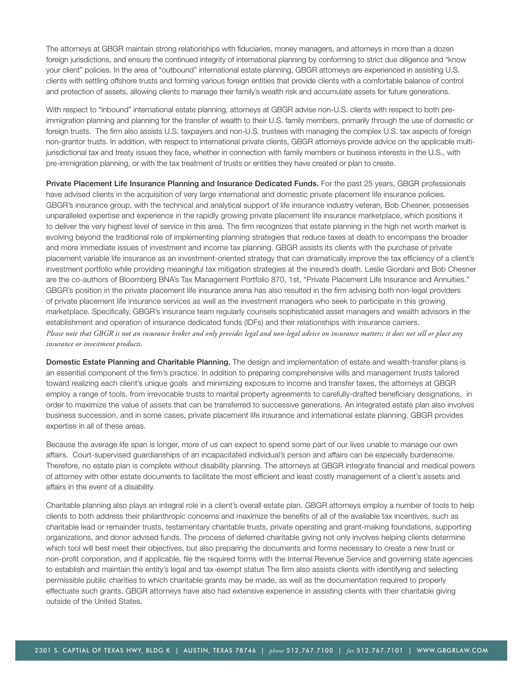The attorneys at GBGR maintain strong relationships with fiduciaries, money managers, and attorneys in more than a dozen foreign jurisdictions, and ensure the continued integrity of international planning by conforming to strict due diligence and "know your client" policies. In the area of "outbound" international estate planning, GBGR attorneys are experienced in assisting U.S. clients with settling offshore trusts and forming various foreign entities that provide clients with a comfortable balance of control and protection of assets, allowing clients to manage their family's wealth risk and accumulate assets for future generations.

With respect to "inbound" international estate planning, attorneys at GBGR advise non-U.S. clients with respect to both preimmigration planning and planning for the transfer of wealth to their U.S. family members, primarily through the use of domestic or foreign trusts. The firm also assists U.S. taxpayers and non-U.S. trustees with managing the complex U.S. tax aspects of foreign non-grantor trusts. In addition, with respect to international private clients, GBGR attorneys provide advice on the applicable multijurisdictional tax and treaty issues they face, whether in connection with family members or business interests in the U.S., with pre-immigration planning, or with the tax treatment of trusts or entities they have created or plan to create.

Private Placement Life Insurance Planning and Insurance Dedicated Funds. For the past 25 years, GBGR professionals have advised clients in the acquisition of very large international and domestic private placement life insurance policies. GBGR's insurance group, with the technical and analytical support of life insurance industry veteran, Bob Chesner, possesses unparalleled expertise and experience in the rapidly growing private placement life insurance marketplace, which positions it to deliver the very highest level of service in this area. The firm recognizes that estate planning in the high net worth market is evolving beyond the traditional role of implementing planning strategies that reduce taxes at death to encompass the broader and more immediate issues of investment and income tax planning. GBGR assists its clients with the purchase of private placement variable life insurance as an investment-oriented strategy that can dramatically improve the tax efficiency of a client's investment portfolio while providing meaningful tax mitigation strategies at the insured's death. Leslie Giordani and Bob Chesner are the co-authors of Bloomberg BNA's Tax Management Portfolio 870, 1st, "Private Placement Life Insurance and Annuities." GBGR's position in the private placement life insurance arena has also resulted in the firm advising both non-legal providers of private placement life insurance services as well as the investment managers who seek to participate in this growing marketplace. Specifically, GBGR's insurance team regularly counsels sophisticated asset managers and wealth advisors in the establishment and operation of insurance dedicated funds (IDFs) and their relationships with insurance carriers. *Please note that GBGR is not an insurance broker and only provides legal and non-legal advice on insurance matters; it does not sell or place any insurance or investment products.*

Domestic Estate Planning and Charitable Planning. The design and implementation of estate and wealth-transfer plans is an essential component of the firm's practice. In addition to preparing comprehensive wills and management trusts tailored toward realizing each client's unique goals and minimizing exposure to income and transfer taxes, the attorneys at GBGR employ a range of tools, from irrevocable trusts to marital property agreements to carefully-drafted beneficiary designations, in order to maximize the value of assets that can be transferred to successive generations. An integrated estate plan also involves business succession, and in some cases, private placement life insurance and international estate planning. GBGR provides expertise in all of these areas.

Because the average life span is longer, more of us can expect to spend some part of our lives unable to manage our own affairs. Court-supervised guardianships of an incapacitated individual's person and affairs can be especially burdensome. Therefore, no estate plan is complete without disability planning. The attorneys at GBGR integrate financial and medical powers of attorney with other estate documents to facilitate the most efficient and least costly management of a client's assets and affairs in the event of a disability.

Charitable planning also plays an integral role in a client's overall estate plan. GBGR attorneys employ a number of tools to help clients to both address their philanthropic concerns and maximize the benefits of all of the available tax incentives, such as charitable lead or remainder trusts, testamentary charitable trusts, private operating and grant-making foundations, supporting organizations, and donor advised funds. The process of deferred charitable giving not only involves helping clients determine which tool will best meet their objectives, but also preparing the documents and forms necessary to create a new trust or non-profit corporation, and if applicable, file the required forms with the Internal Revenue Service and governing state agencies to establish and maintain the entity's legal and tax-exempt status The firm also assists clients with identifying and selecting permissible public charities to which charitable grants may be made, as well as the documentation required to properly effectuate such grants. GBGR attorneys have also had extensive experience in assisting clients with their charitable giving outside of the United States.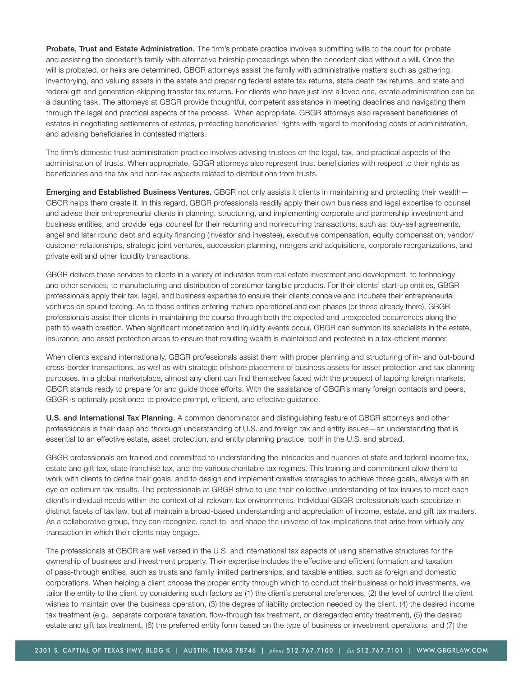Probate, Trust and Estate Administration. The firm's probate practice involves submitting wills to the court for probate and assisting the decedent's family with alternative heirship proceedings when the decedent died without a will. Once the will is probated, or heirs are determined, GBGR attorneys assist the family with administrative matters such as gathering, inventorying, and valuing assets in the estate and preparing federal estate tax returns, state death tax returns, and state and federal gift and generation-skipping transfer tax returns. For clients who have just lost a loved one, estate administration can be a daunting task. The attorneys at GBGR provide thoughtful, competent assistance in meeting deadlines and navigating them through the legal and practical aspects of the process. When appropriate, GBGR attorneys also represent beneficiaries of estates in negotiating settlements of estates, protecting beneficiaries' rights with regard to monitoring costs of administration, and advising beneficiaries in contested matters.

The firm's domestic trust administration practice involves advising trustees on the legal, tax, and practical aspects of the administration of trusts. When appropriate, GBGR attorneys also represent trust beneficiaries with respect to their rights as beneficiaries and the tax and non-tax aspects related to distributions from trusts.

Emerging and Established Business Ventures. GBGR not only assists it clients in maintaining and protecting their wealth– GBGR helps them create it. In this regard, GBGR professionals readily apply their own business and legal expertise to counsel and advise their entrepreneurial clients in planning, structuring, and implementing corporate and partnership investment and business entities, and provide legal counsel for their recurring and nonrecurring transactions, such as: buy-sell agreements, angel and later round debt and equity financing (investor and investee), executive compensation, equity compensation, vendor/ customer relationships, strategic joint ventures, succession planning, mergers and acquisitions, corporate reorganizations, and private exit and other liquidity transactions.

GBGR delivers these services to clients in a variety of industries from real estate investment and development, to technology and other services, to manufacturing and distribution of consumer tangible products. For their clients' start-up entities, GBGR professionals apply their tax, legal, and business expertise to ensure their clients conceive and incubate their entrepreneurial ventures on sound footing. As to those entities entering mature operational and exit phases (or those already there), GBGR professionals assist their clients in maintaining the course through both the expected and unexpected occurrences along the path to wealth creation. When significant monetization and liquidity events occur, GBGR can summon its specialists in the estate, insurance, and asset protection areas to ensure that resulting wealth is maintained and protected in a tax-efficient manner.

When clients expand internationally, GBGR professionals assist them with proper planning and structuring of in- and out-bound cross-border transactions, as well as with strategic offshore placement of business assets for asset protection and tax planning purposes. In a global marketplace, almost any client can find themselves faced with the prospect of tapping foreign markets. GBGR stands ready to prepare for and guide those efforts. With the assistance of GBGR's many foreign contacts and peers, GBGR is optimally positioned to provide prompt, efficient, and effective guidance.

U.S. and International Tax Planning. A common denominator and distinguishing feature of GBGR attorneys and other professionals is their deep and thorough understanding of U.S. and foreign tax and entity issues—an understanding that is essential to an effective estate, asset protection, and entity planning practice, both in the U.S. and abroad.

GBGR professionals are trained and committed to understanding the intricacies and nuances of state and federal income tax, estate and gift tax, state franchise tax, and the various charitable tax regimes. This training and commitment allow them to work with clients to define their goals, and to design and implement creative strategies to achieve those goals, always with an eye on optimum tax results. The professionals at GBGR strive to use their collective understanding of tax issues to meet each client's individual needs within the context of all relevant tax environments. Individual GBGR professionals each specialize in distinct facets of tax law, but all maintain a broad-based understanding and appreciation of income, estate, and gift tax matters. As a collaborative group, they can recognize, react to, and shape the universe of tax implications that arise from virtually any transaction in which their clients may engage.

The professionals at GBGR are well versed in the U.S. and international tax aspects of using alternative structures for the ownership of business and investment property. Their expertise includes the effective and efficient formation and taxation of pass-through entities, such as trusts and family limited partnerships, and taxable entities, such as foreign and domestic corporations. When helping a client choose the proper entity through which to conduct their business or hold investments, we tailor the entity to the client by considering such factors as (1) the client's personal preferences, (2) the level of control the client wishes to maintain over the business operation, (3) the degree of liability protection needed by the client, (4) the desired income tax treatment (e.g., separate corporate taxation, flow-through tax treatment, or disregarded entity treatment), (5) the desired estate and gift tax treatment, (6) the preferred entity form based on the type of business or investment operations, and (7) the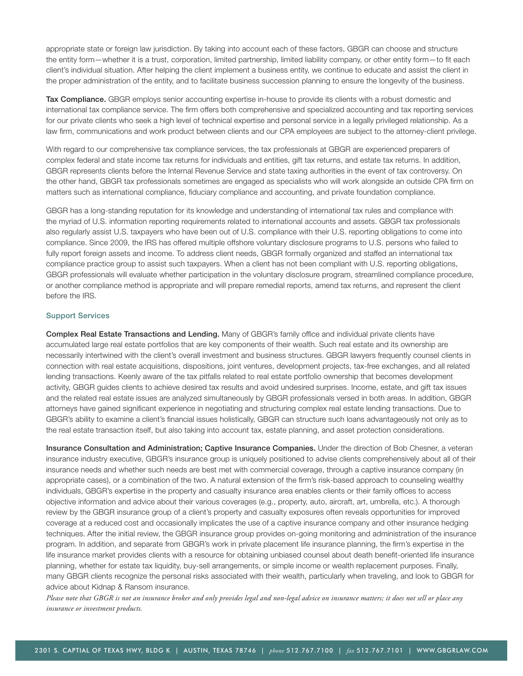appropriate state or foreign law jurisdiction. By taking into account each of these factors, GBGR can choose and structure the entity form—whether it is a trust, corporation, limited partnership, limited liability company, or other entity form—to fit each client's individual situation. After helping the client implement a business entity, we continue to educate and assist the client in the proper administration of the entity, and to facilitate business succession planning to ensure the longevity of the business.

Tax Compliance. GBGR employs senior accounting expertise in-house to provide its clients with a robust domestic and international tax compliance service. The firm offers both comprehensive and specialized accounting and tax reporting services for our private clients who seek a high level of technical expertise and personal service in a legally privileged relationship. As a law firm, communications and work product between clients and our CPA employees are subject to the attorney-client privilege.

With regard to our comprehensive tax compliance services, the tax professionals at GBGR are experienced preparers of complex federal and state income tax returns for individuals and entities, gift tax returns, and estate tax returns. In addition, GBGR represents clients before the Internal Revenue Service and state taxing authorities in the event of tax controversy. On the other hand, GBGR tax professionals sometimes are engaged as specialists who will work alongside an outside CPA firm on matters such as international compliance, fiduciary compliance and accounting, and private foundation compliance.

GBGR has a long-standing reputation for its knowledge and understanding of international tax rules and compliance with the myriad of U.S. information reporting requirements related to international accounts and assets. GBGR tax professionals also regularly assist U.S. taxpayers who have been out of U.S. compliance with their U.S. reporting obligations to come into compliance. Since 2009, the IRS has offered multiple offshore voluntary disclosure programs to U.S. persons who failed to fully report foreign assets and income. To address client needs, GBGR formally organized and staffed an international tax compliance practice group to assist such taxpayers. When a client has not been compliant with U.S. reporting obligations, GBGR professionals will evaluate whether participation in the voluntary disclosure program, streamlined compliance procedure, or another compliance method is appropriate and will prepare remedial reports, amend tax returns, and represent the client before the IRS.

### Support Services

Complex Real Estate Transactions and Lending. Many of GBGR's family office and individual private clients have accumulated large real estate portfolios that are key components of their wealth. Such real estate and its ownership are necessarily intertwined with the client's overall investment and business structures. GBGR lawyers frequently counsel clients in connection with real estate acquisitions, dispositions, joint ventures, development projects, tax-free exchanges, and all related lending transactions. Keenly aware of the tax pitfalls related to real estate portfolio ownership that becomes development activity, GBGR guides clients to achieve desired tax results and avoid undesired surprises. Income, estate, and gift tax issues and the related real estate issues are analyzed simultaneously by GBGR professionals versed in both areas. In addition, GBGR attorneys have gained significant experience in negotiating and structuring complex real estate lending transactions. Due to GBGR's ability to examine a client's financial issues holistically, GBGR can structure such loans advantageously not only as to the real estate transaction itself, but also taking into account tax, estate planning, and asset protection considerations.

Insurance Consultation and Administration; Captive Insurance Companies. Under the direction of Bob Chesner, a veteran insurance industry executive, GBGR's insurance group is uniquely positioned to advise clients comprehensively about all of their insurance needs and whether such needs are best met with commercial coverage, through a captive insurance company (in appropriate cases), or a combination of the two. A natural extension of the firm's risk-based approach to counseling wealthy individuals, GBGR's expertise in the property and casualty insurance area enables clients or their family offices to access objective information and advice about their various coverages (e.g., property, auto, aircraft, art, umbrella, etc.). A thorough review by the GBGR insurance group of a client's property and casualty exposures often reveals opportunities for improved coverage at a reduced cost and occasionally implicates the use of a captive insurance company and other insurance hedging techniques. After the initial review, the GBGR insurance group provides on-going monitoring and administration of the insurance program. In addition, and separate from GBGR's work in private placement life insurance planning, the firm's expertise in the life insurance market provides clients with a resource for obtaining unbiased counsel about death benefit-oriented life insurance planning, whether for estate tax liquidity, buy-sell arrangements, or simple income or wealth replacement purposes. Finally, many GBGR clients recognize the personal risks associated with their wealth, particularly when traveling, and look to GBGR for advice about Kidnap & Ransom insurance.

*Please note that GBGR is not an insurance broker and only provides legal and non-legal advice on insurance matters; it does not sell or place any insurance or investment products.*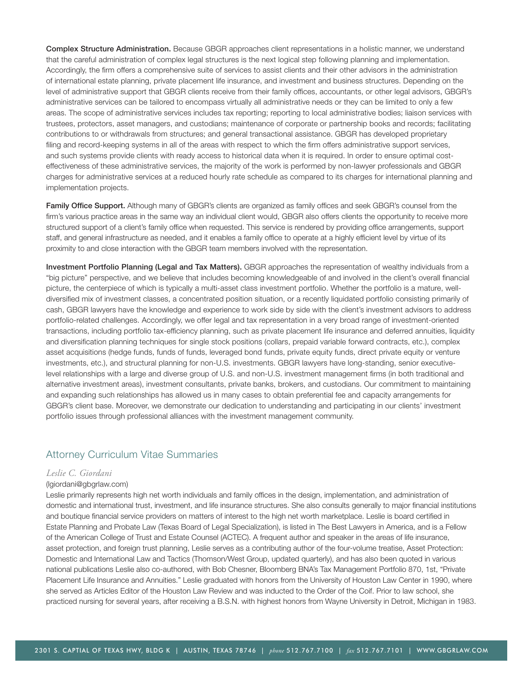**Complex Structure Administration.** Because GBGR approaches client representations in a holistic manner, we understand that the careful administration of complex legal structures is the next logical step following planning and implementation. Accordingly, the firm offers a comprehensive suite of services to assist clients and their other advisors in the administration of international estate planning, private placement life insurance, and investment and business structures. Depending on the level of administrative support that GBGR clients receive from their family offices, accountants, or other legal advisors, GBGR's administrative services can be tailored to encompass virtually all administrative needs or they can be limited to only a few areas. The scope of administrative services includes tax reporting; reporting to local administrative bodies; liaison services with trustees, protectors, asset managers, and custodians; maintenance of corporate or partnership books and records; facilitating contributions to or withdrawals from structures; and general transactional assistance. GBGR has developed proprietary filing and record-keeping systems in all of the areas with respect to which the firm offers administrative support services, and such systems provide clients with ready access to historical data when it is required. In order to ensure optimal costeffectiveness of these administrative services, the majority of the work is performed by non-lawyer professionals and GBGR charges for administrative services at a reduced hourly rate schedule as compared to its charges for international planning and implementation projects.

Family Office Support. Although many of GBGR's clients are organized as family offices and seek GBGR's counsel from the firm's various practice areas in the same way an individual client would, GBGR also offers clients the opportunity to receive more structured support of a client's family office when requested. This service is rendered by providing office arrangements, support staff, and general infrastructure as needed, and it enables a family office to operate at a highly efficient level by virtue of its proximity to and close interaction with the GBGR team members involved with the representation.

Investment Portfolio Planning (Legal and Tax Matters). GBGR approaches the representation of wealthy individuals from a "big picture" perspective, and we believe that includes becoming knowledgeable of and involved in the client's overall financial picture, the centerpiece of which is typically a multi-asset class investment portfolio. Whether the portfolio is a mature, welldiversified mix of investment classes, a concentrated position situation, or a recently liquidated portfolio consisting primarily of cash, GBGR lawyers have the knowledge and experience to work side by side with the client's investment advisors to address portfolio-related challenges. Accordingly, we offer legal and tax representation in a very broad range of investment-oriented transactions, including portfolio tax-efficiency planning, such as private placement life insurance and deferred annuities, liquidity and diversification planning techniques for single stock positions (collars, prepaid variable forward contracts, etc.), complex asset acquisitions (hedge funds, funds of funds, leveraged bond funds, private equity funds, direct private equity or venture investments, etc.), and structural planning for non-U.S. investments. GBGR lawyers have long-standing, senior executivelevel relationships with a large and diverse group of U.S. and non-U.S. investment management firms (in both traditional and alternative investment areas), investment consultants, private banks, brokers, and custodians. Our commitment to maintaining and expanding such relationships has allowed us in many cases to obtain preferential fee and capacity arrangements for GBGR's client base. Moreover, we demonstrate our dedication to understanding and participating in our clients' investment portfolio issues through professional alliances with the investment management community.

## Attorney Curriculum Vitae Summaries

## *Leslie C. Giordani*

### (lgiordani@gbgrlaw.com)

Leslie primarily represents high net worth individuals and family offices in the design, implementation, and administration of domestic and international trust, investment, and life insurance structures. She also consults generally to major financial institutions and boutique financial service providers on matters of interest to the high net worth marketplace. Leslie is board certified in Estate Planning and Probate Law (Texas Board of Legal Specialization), is listed in The Best Lawyers in America, and is a Fellow of the American College of Trust and Estate Counsel (ACTEC). A frequent author and speaker in the areas of life insurance, asset protection, and foreign trust planning, Leslie serves as a contributing author of the four-volume treatise, Asset Protection: Domestic and International Law and Tactics (Thomson/West Group, updated quarterly), and has also been quoted in various national publications Leslie also co-authored, with Bob Chesner, Bloomberg BNA's Tax Management Portfolio 870, 1st, "Private Placement Life Insurance and Annuities." Leslie graduated with honors from the University of Houston Law Center in 1990, where she served as Articles Editor of the Houston Law Review and was inducted to the Order of the Coif. Prior to law school, she practiced nursing for several years, after receiving a B.S.N. with highest honors from Wayne University in Detroit, Michigan in 1983.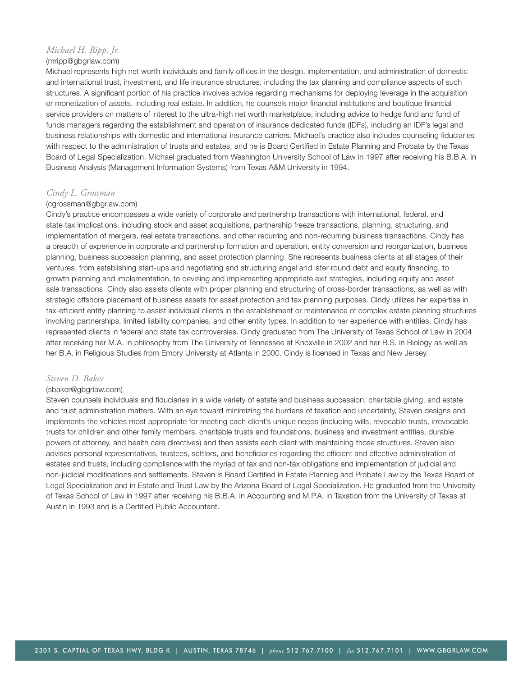## *Michael H. Ripp, Jr.*

### (mripp@gbgrlaw.com)

Michael represents high net worth individuals and family offices in the design, implementation, and administration of domestic and international trust, investment, and life insurance structures, including the tax planning and compliance aspects of such structures. A significant portion of his practice involves advice regarding mechanisms for deploying leverage in the acquisition or monetization of assets, including real estate. In addition, he counsels major financial institutions and boutique financial service providers on matters of interest to the ultra-high net worth marketplace, including advice to hedge fund and fund of funds managers regarding the establishment and operation of insurance dedicated funds (IDFs), including an IDF's legal and business relationships with domestic and international insurance carriers. Michael's practice also includes counseling fiduciaries with respect to the administration of trusts and estates, and he is Board Certified in Estate Planning and Probate by the Texas Board of Legal Specialization. Michael graduated from Washington University School of Law in 1997 after receiving his B.B.A. in Business Analysis (Management Information Systems) from Texas A&M University in 1994.

## *Cindy L. Grossman*

### (cgrossman@gbgrlaw.com)

Cindy's practice encompasses a wide variety of corporate and partnership transactions with international, federal, and state tax implications, including stock and asset acquisitions, partnership freeze transactions, planning, structuring, and implementation of mergers, real estate transactions, and other recurring and non-recurring business transactions. Cindy has a breadth of experience in corporate and partnership formation and operation, entity conversion and reorganization, business planning, business succession planning, and asset protection planning. She represents business clients at all stages of their ventures, from establishing start-ups and negotiating and structuring angel and later round debt and equity financing, to growth planning and implementation, to devising and implementing appropriate exit strategies, including equity and asset sale transactions. Cindy also assists clients with proper planning and structuring of cross-border transactions, as well as with strategic offshore placement of business assets for asset protection and tax planning purposes. Cindy utilizes her expertise in tax-efficient entity planning to assist individual clients in the establishment or maintenance of complex estate planning structures involving partnerships, limited liability companies, and other entity types. In addition to her experience with entities, Cindy has represented clients in federal and state tax controversies. Cindy graduated from The University of Texas School of Law in 2004 after receiving her M.A. in philosophy from The University of Tennessee at Knoxville in 2002 and her B.S. in Biology as well as her B.A. in Religious Studies from Emory University at Atlanta in 2000. Cindy is licensed in Texas and New Jersey.

### *Steven D. Baker*

### (sbaker@gbgrlaw.com)

Steven counsels individuals and fiduciaries in a wide variety of estate and business succession, charitable giving, and estate and trust administration matters. With an eye toward minimizing the burdens of taxation and uncertainty, Steven designs and implements the vehicles most appropriate for meeting each client's unique needs (including wills, revocable trusts, irrevocable trusts for children and other family members, charitable trusts and foundations, business and investment entities, durable powers of attorney, and health care directives) and then assists each client with maintaining those structures. Steven also advises personal representatives, trustees, settlors, and beneficiaries regarding the efficient and effective administration of estates and trusts, including compliance with the myriad of tax and non-tax obligations and implementation of judicial and non-judicial modifications and settlements. Steven is Board Certified in Estate Planning and Probate Law by the Texas Board of Legal Specialization and in Estate and Trust Law by the Arizona Board of Legal Specialization. He graduated from the University of Texas School of Law in 1997 after receiving his B.B.A. in Accounting and M.P.A. in Taxation from the University of Texas at Austin in 1993 and is a Certified Public Accountant.